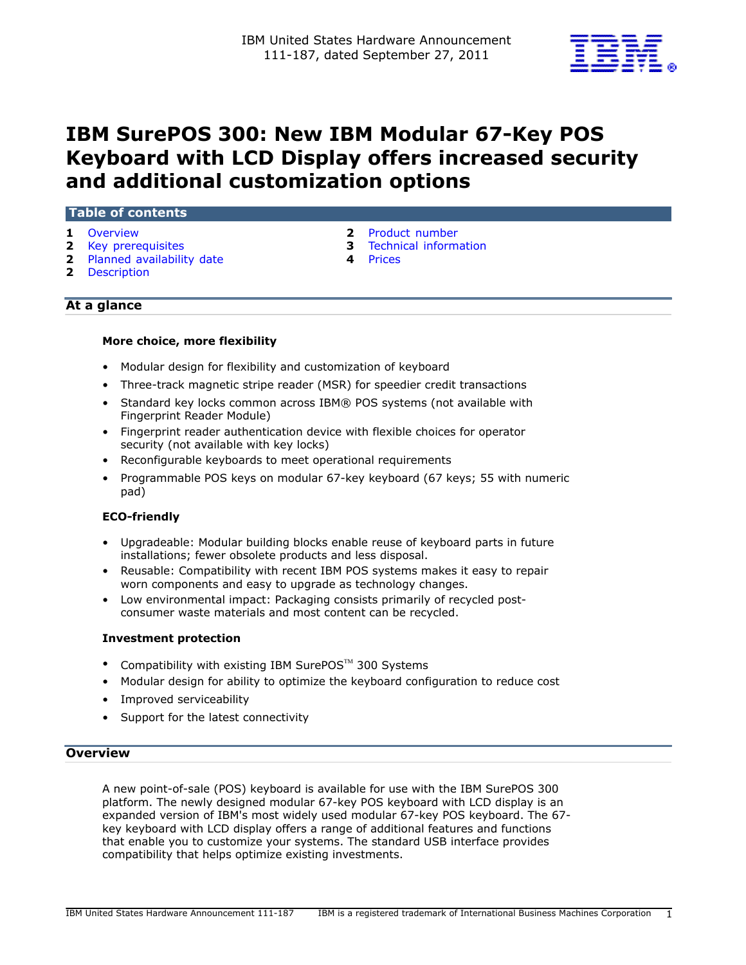

# IBM SurePOS 300: New IBM Modular 67-Key POS Keyboard with LCD Display offers increased security and additional customization options

## Table of contents

- 
- **2** [Key prerequisites](#page-1-1) **3** Technical information
- 2 [Planned availability date](#page-1-2) **4 Prices**
- 
- 1 [Overview](#page-0-0) 2 Product number
	-
	-

# At a glance

2 [Description](#page-1-3)

## More choice, more flexibility

- Modular design for flexibility and customization of keyboard
- Three-track magnetic stripe reader (MSR) for speedier credit transactions
- Standard key locks common across IBM® POS systems (not available with Fingerprint Reader Module)
- Fingerprint reader authentication device with flexible choices for operator security (not available with key locks)
- Reconfigurable keyboards to meet operational requirements
- Programmable POS keys on modular 67-key keyboard (67 keys; 55 with numeric pad)

# ECO-friendly

- Upgradeable: Modular building blocks enable reuse of keyboard parts in future installations; fewer obsolete products and less disposal.
- Reusable: Compatibility with recent IBM POS systems makes it easy to repair worn components and easy to upgrade as technology changes.
- Low environmental impact: Packaging consists primarily of recycled postconsumer waste materials and most content can be recycled.

#### Investment protection

- Compatibility with existing IBM SurePOS<sup>™</sup> 300 Svstems
- Modular design for ability to optimize the keyboard configuration to reduce cost
- Improved serviceability
- Support for the latest connectivity

## <span id="page-0-0"></span>**Overview**

A new point-of-sale (POS) keyboard is available for use with the IBM SurePOS 300 platform. The newly designed modular 67-key POS keyboard with LCD display is an expanded version of IBM's most widely used modular 67-key POS keyboard. The 67 key keyboard with LCD display offers a range of additional features and functions that enable you to customize your systems. The standard USB interface provides compatibility that helps optimize existing investments.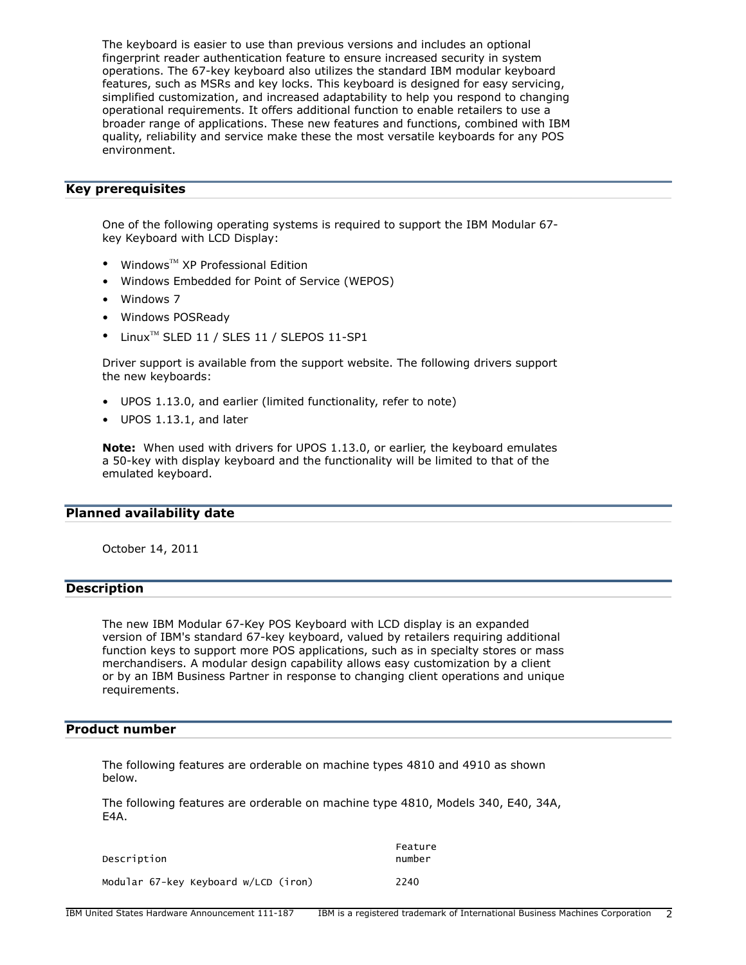The keyboard is easier to use than previous versions and includes an optional fingerprint reader authentication feature to ensure increased security in system operations. The 67-key keyboard also utilizes the standard IBM modular keyboard features, such as MSRs and key locks. This keyboard is designed for easy servicing, simplified customization, and increased adaptability to help you respond to changing operational requirements. It offers additional function to enable retailers to use a broader range of applications. These new features and functions, combined with IBM quality, reliability and service make these the most versatile keyboards for any POS environment.

## <span id="page-1-1"></span>Key prerequisites

One of the following operating systems is required to support the IBM Modular 67 key Keyboard with LCD Display:

- Windows $^{TM}$  XP Professional Edition
- Windows Embedded for Point of Service (WEPOS)
- Windows 7
- Windows POSReady
- $\bullet$  Linux<sup>TM</sup> SLED 11 / SLES 11 / SLEPOS 11-SP1

Driver support is available from the support website. The following drivers support the new keyboards:

- UPOS 1.13.0, and earlier (limited functionality, refer to note)
- UPOS 1.13.1, and later

Note: When used with drivers for UPOS 1.13.0, or earlier, the keyboard emulates a 50-key with display keyboard and the functionality will be limited to that of the emulated keyboard.

#### <span id="page-1-2"></span>Planned availability date

October 14, 2011

#### <span id="page-1-3"></span>Description

The new IBM Modular 67-Key POS Keyboard with LCD display is an expanded version of IBM's standard 67-key keyboard, valued by retailers requiring additional function keys to support more POS applications, such as in specialty stores or mass merchandisers. A modular design capability allows easy customization by a client or by an IBM Business Partner in response to changing client operations and unique requirements.

## <span id="page-1-0"></span>Product number

The following features are orderable on machine types 4810 and 4910 as shown below.

The following features are orderable on machine type 4810, Models 340, E40, 34A, E4A.

| Description                          | Feature<br>number |
|--------------------------------------|-------------------|
| Modular 67-key Keyboard w/LCD (iron) | 2240              |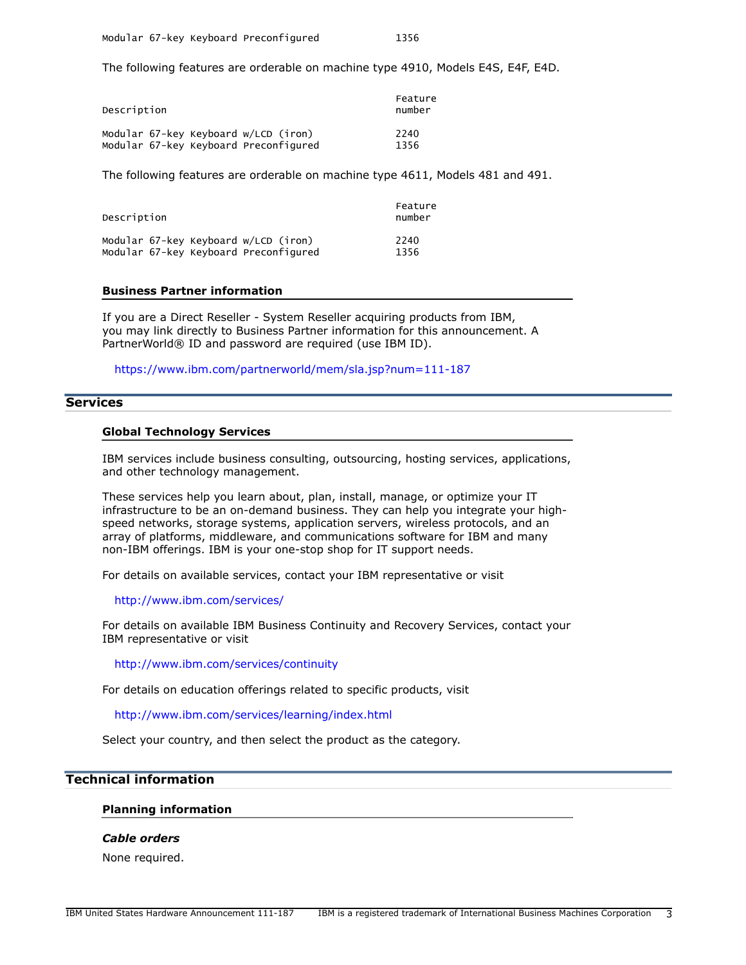The following features are orderable on machine type 4910, Models E4S, E4F, E4D.

| Description                           | Feature<br>number |
|---------------------------------------|-------------------|
| Modular 67-key Keyboard w/LCD (iron)  | 2240              |
| Modular 67-key Keyboard Preconfigured | 1356              |

The following features are orderable on machine type 4611, Models 481 and 491.

| Description                           | Feature<br>number |
|---------------------------------------|-------------------|
| Modular 67-key Keyboard w/LCD (iron)  | 2240              |
| Modular 67-key Keyboard Preconfigured | 1356              |

#### Business Partner information

If you are a Direct Reseller - System Reseller acquiring products from IBM, you may link directly to Business Partner information for this announcement. A PartnerWorld® ID and password are required (use IBM ID).

<https://www.ibm.com/partnerworld/mem/sla.jsp?num=111-187>

## **Services**

#### Global Technology Services

IBM services include business consulting, outsourcing, hosting services, applications, and other technology management.

These services help you learn about, plan, install, manage, or optimize your IT infrastructure to be an on-demand business. They can help you integrate your highspeed networks, storage systems, application servers, wireless protocols, and an array of platforms, middleware, and communications software for IBM and many non-IBM offerings. IBM is your one-stop shop for IT support needs.

For details on available services, contact your IBM representative or visit

#### <http://www.ibm.com/services/>

For details on available IBM Business Continuity and Recovery Services, contact your IBM representative or visit

<http://www.ibm.com/services/continuity>

For details on education offerings related to specific products, visit

<http://www.ibm.com/services/learning/index.html>

Select your country, and then select the product as the category.

# <span id="page-2-0"></span>Technical information

#### Planning information

## *Cable orders*

None required.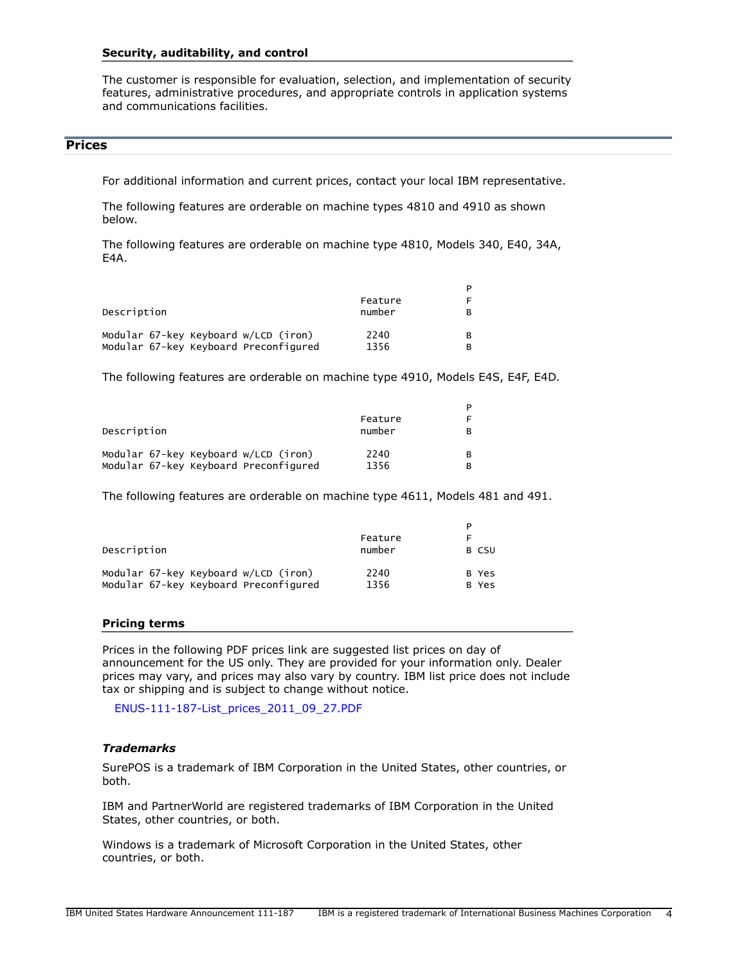#### Security, auditability, and control

The customer is responsible for evaluation, selection, and implementation of security features, administrative procedures, and appropriate controls in application systems and communications facilities.

#### <span id="page-3-0"></span>Prices

For additional information and current prices, contact your local IBM representative.

The following features are orderable on machine types 4810 and 4910 as shown below.

The following features are orderable on machine type 4810, Models 340, E40, 34A, E4A.

| Description                           | Feature<br>number | F<br>в |
|---------------------------------------|-------------------|--------|
| Modular 67-key Keyboard w/LCD (iron)  | 2240              | в      |
| Modular 67-key Keyboard Preconfigured | 1356              | в      |

The following features are orderable on machine type 4910, Models E4S, E4F, E4D.

|                                                     | Feature        | P      |
|-----------------------------------------------------|----------------|--------|
| Description<br>Modular 67-key Keyboard w/LCD (iron) | number<br>2240 | в<br>в |
| Modular 67-key Keyboard Preconfigured               | 1356           |        |

The following features are orderable on machine type 4611, Models 481 and 491.

| Description                           | Feature<br>number | P<br>F<br>B CSU |
|---------------------------------------|-------------------|-----------------|
| Modular 67-key Keyboard w/LCD (iron)  | 2240              | B Yes           |
| Modular 67-key Keyboard Preconfigured | 1356              | B Yes           |

#### Pricing terms

Prices in the following PDF prices link are suggested list prices on day of announcement for the US only. They are provided for your information only. Dealer prices may vary, and prices may also vary by country. IBM list price does not include tax or shipping and is subject to change without notice.

[ENUS-111-187-List\\_prices\\_2011\\_09\\_27.PDF](http://www.ibm.com/common/ssi/cgi-bin/ssialias?infotype=AN&subtype=CA&appname=gpateam&supplier=897&letternum=ENUS111-187&attachment=ENUS-111-187-List_prices_2011_09_27.PDF)

#### *Trademarks*

SurePOS is a trademark of IBM Corporation in the United States, other countries, or both.

IBM and PartnerWorld are registered trademarks of IBM Corporation in the United States, other countries, or both.

Windows is a trademark of Microsoft Corporation in the United States, other countries, or both.